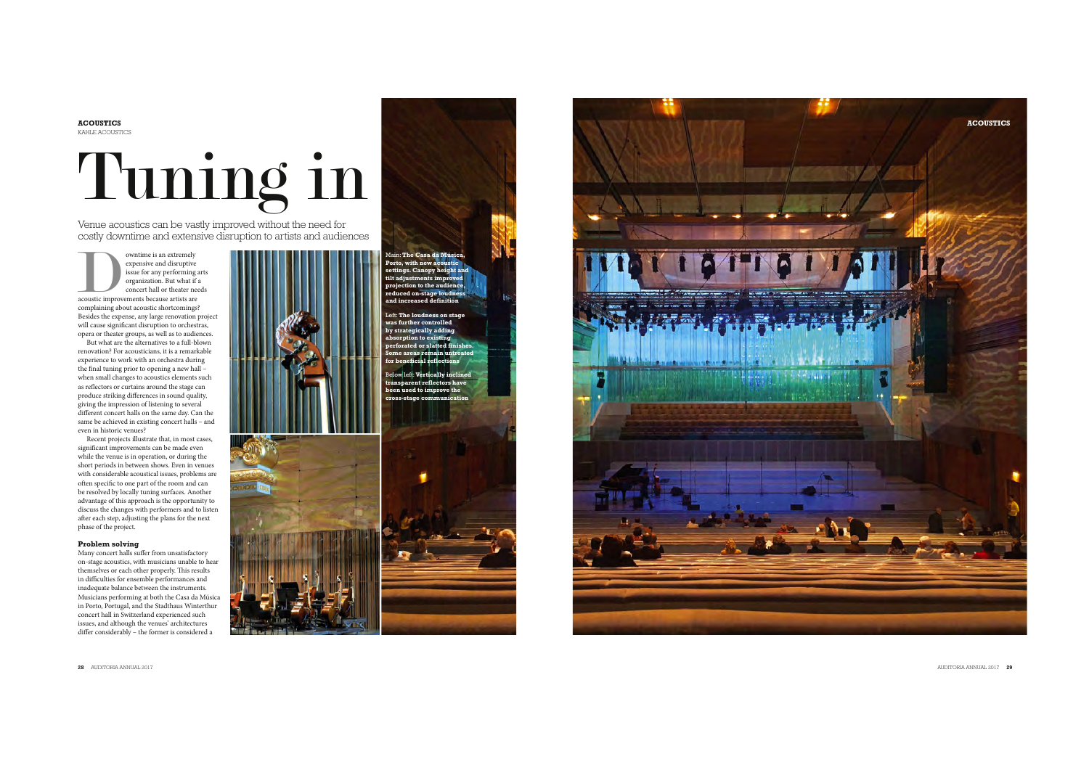**ACOUSTICS** KAHLE ACOUSTICS

## Tuning in

Venue acoustics can be vastly improved without the need for costly downtime and extensive disruption to artists and audiences

 $\begin{tabular}{|c|c|} \hline \multicolumn{3}{|c|}{o}} \hline \multicolumn{3}{|c|}{o}} \hline \multicolumn{3}{|c|}{o}} \hline \multicolumn{3}{|c|}{o}} \hline \multicolumn{3}{|c|}{o}} \hline \multicolumn{3}{|c|}{c}} \hline \multicolumn{3}{|c|}{c}} \hline \multicolumn{3}{|c|}{c}} \hline \multicolumn{3}{|c|}{c}} \hline \multicolumn{3}{|c|}{c}} \hline \multicolumn{3}{|c|}{c}} \hline \multicolumn{3}{|c|}{c}} \hline \multicolumn{3}{|c|}{c}} \$ expensive and disruptive issue for any performing arts organization. But what if a concert hall or theater needs complaining about acoustic shortcomings? Besides the expense, any large renovation project will cause signi fcant disruption to orchestras, opera or theater groups, as well as to audiences.

But what are the alternatives to a full-blown renovation? For acousticians, it is a remarkable experience to work with an orchestra during the fnal tuning prior to opening a new hall – when small changes to acoustics elements such as re fectors or curtains around the stage can produce striking di ferences in sound quality, giving the impression of listening to several di ferent concert halls on the same day. Can the same be achieved in existing concert halls – and even in historic venues?

Recent projects illustrate that, in most cases, signi fcant improvements can be made even while the venue is in operation, or during the short periods in between shows. Even in venues<br>with considerable acoustical issues, problems are with considerable acoustical issues, problems at often specific to one part of the room and can be resolved by locally tuning surfaces. Another advantage of this approach is the opportunity to after each step, adjusting the plans for the next phase of the project.

## **Problem solving**

Many concert halls su fer from unsatisfactory on-stage acoustics, with musicians unable to hear themselves or each other properly. This results in di fculties for ensemble performances and inadequate balance between the instruments. Musicians performing at both the Casa da Música in Porto, Portugal, and the Stadthaus Winterthur concert hall in Switzerland experienced such issues, and although the venues' architectures di fer considerably – the former is considered a





Left: **The loudness on stage was further controlled** 

**by strategically adding absorption to existing perforated or slatted finishes. Some areas remain untreated for beneficial reflections**

Below left: **Vertically inclined trent** ref **been used to improve the cross-stage communication**